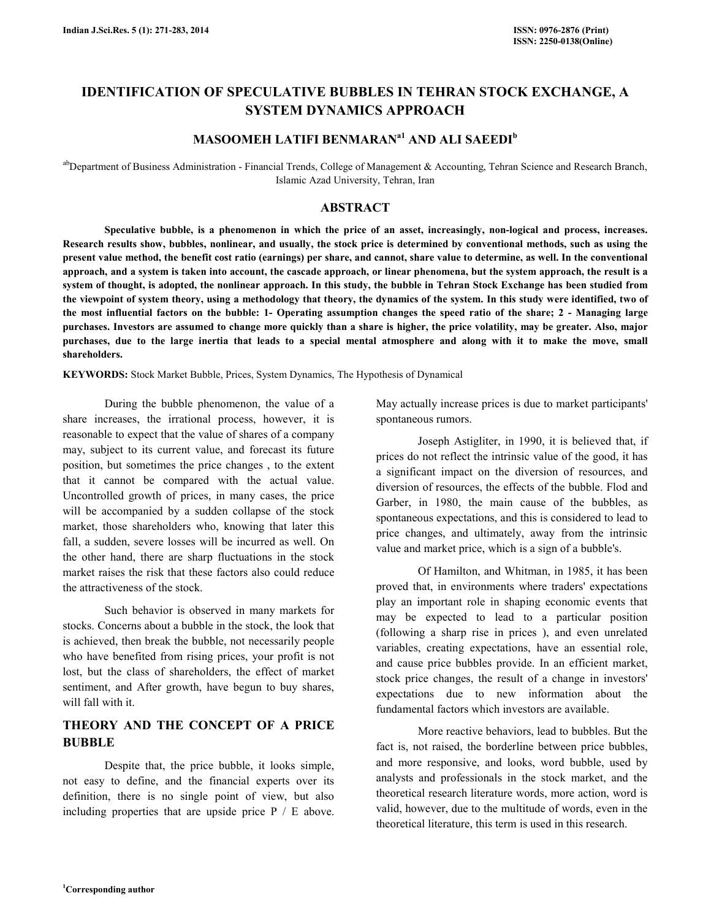# IDENTIFICATION OF SPECULATIVE BUBBLES IN TEHRAN STOCK EXCHANGE, A SYSTEM DYNAMICS APPROACH

## MASOOMEH LATIFI BENMARAN<sup>a1</sup> AND ALI SAEEDI<sup>b</sup>

abDepartment of Business Administration - Financial Trends, College of Management & Accounting, Tehran Science and Research Branch, Islamic Azad University, Tehran, Iran

## ABSTRACT

 Speculative bubble, is a phenomenon in which the price of an asset, increasingly, non-logical and process, increases. Research results show, bubbles, nonlinear, and usually, the stock price is determined by conventional methods, such as using the present value method, the benefit cost ratio (earnings) per share, and cannot, share value to determine, as well. In the conventional approach, and a system is taken into account, the cascade approach, or linear phenomena, but the system approach, the result is a system of thought, is adopted, the nonlinear approach. In this study, the bubble in Tehran Stock Exchange has been studied from the viewpoint of system theory, using a methodology that theory, the dynamics of the system. In this study were identified, two of the most influential factors on the bubble: 1- Operating assumption changes the speed ratio of the share; 2 - Managing large purchases. Investors are assumed to change more quickly than a share is higher, the price volatility, may be greater. Also, major purchases, due to the large inertia that leads to a special mental atmosphere and along with it to make the move, small shareholders.

KEYWORDS: Stock Market Bubble, Prices, System Dynamics, The Hypothesis of Dynamical

 During the bubble phenomenon, the value of a share increases, the irrational process, however, it is reasonable to expect that the value of shares of a company may, subject to its current value, and forecast its future position, but sometimes the price changes , to the extent that it cannot be compared with the actual value. Uncontrolled growth of prices, in many cases, the price will be accompanied by a sudden collapse of the stock market, those shareholders who, knowing that later this fall, a sudden, severe losses will be incurred as well. On the other hand, there are sharp fluctuations in the stock market raises the risk that these factors also could reduce the attractiveness of the stock.

 Such behavior is observed in many markets for stocks. Concerns about a bubble in the stock, the look that is achieved, then break the bubble, not necessarily people who have benefited from rising prices, your profit is not lost, but the class of shareholders, the effect of market sentiment, and After growth, have begun to buy shares, will fall with it.

## THEORY AND THE CONCEPT OF A PRICE BUBBLE

 Despite that, the price bubble, it looks simple, not easy to define, and the financial experts over its definition, there is no single point of view, but also including properties that are upside price P / E above. May actually increase prices is due to market participants' spontaneous rumors.

 Joseph Astigliter, in 1990, it is believed that, if prices do not reflect the intrinsic value of the good, it has a significant impact on the diversion of resources, and diversion of resources, the effects of the bubble. Flod and Garber, in 1980, the main cause of the bubbles, as spontaneous expectations, and this is considered to lead to price changes, and ultimately, away from the intrinsic value and market price, which is a sign of a bubble's.

 Of Hamilton, and Whitman, in 1985, it has been proved that, in environments where traders' expectations play an important role in shaping economic events that may be expected to lead to a particular position (following a sharp rise in prices ), and even unrelated variables, creating expectations, have an essential role, and cause price bubbles provide. In an efficient market, stock price changes, the result of a change in investors' expectations due to new information about the fundamental factors which investors are available.

 More reactive behaviors, lead to bubbles. But the fact is, not raised, the borderline between price bubbles, and more responsive, and looks, word bubble, used by analysts and professionals in the stock market, and the theoretical research literature words, more action, word is valid, however, due to the multitude of words, even in the theoretical literature, this term is used in this research.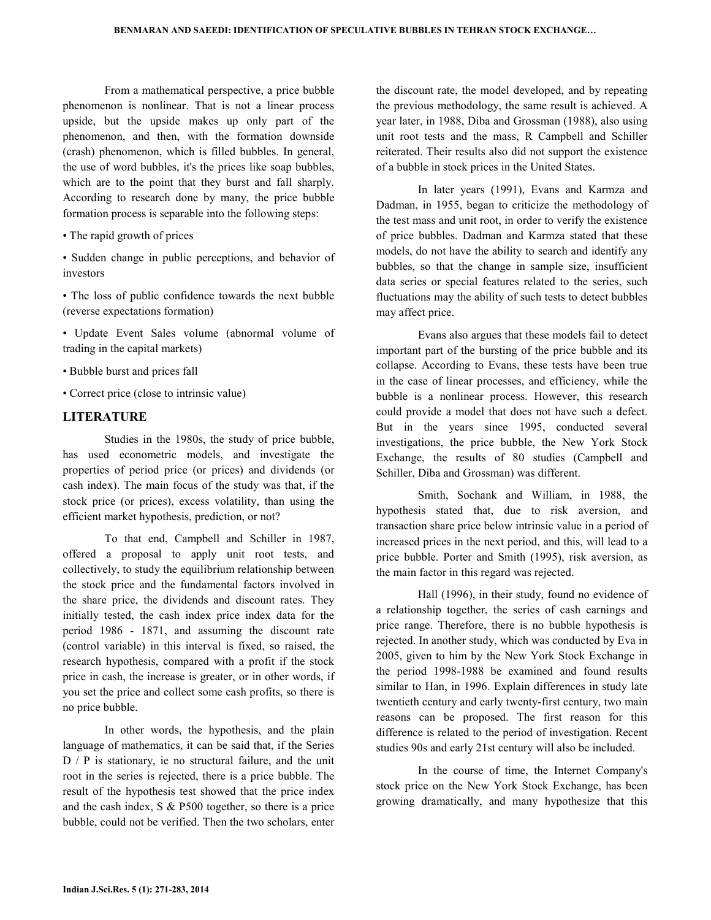From a mathematical perspective, a price bubble phenomenon is nonlinear. That is not a linear process upside, but the upside makes up only part of the phenomenon, and then, with the formation downside (crash) phenomenon, which is filled bubbles. In general, the use of word bubbles, it's the prices like soap bubbles, which are to the point that they burst and fall sharply. According to research done by many, the price bubble formation process is separable into the following steps:

- The rapid growth of prices
- Sudden change in public perceptions, and behavior of investors
- The loss of public confidence towards the next bubble (reverse expectations formation)
- Update Event Sales volume (abnormal volume of trading in the capital markets)
- Bubble burst and prices fall
- Correct price (close to intrinsic value)

## LITERATURE

 Studies in the 1980s, the study of price bubble, has used econometric models, and investigate the properties of period price (or prices) and dividends (or cash index). The main focus of the study was that, if the stock price (or prices), excess volatility, than using the efficient market hypothesis, prediction, or not?

 To that end, Campbell and Schiller in 1987, offered a proposal to apply unit root tests, and collectively, to study the equilibrium relationship between the stock price and the fundamental factors involved in the share price, the dividends and discount rates. They initially tested, the cash index price index data for the period 1986 - 1871, and assuming the discount rate (control variable) in this interval is fixed, so raised, the research hypothesis, compared with a profit if the stock price in cash, the increase is greater, or in other words, if you set the price and collect some cash profits, so there is no price bubble.

 In other words, the hypothesis, and the plain language of mathematics, it can be said that, if the Series D / P is stationary, ie no structural failure, and the unit root in the series is rejected, there is a price bubble. The result of the hypothesis test showed that the price index and the cash index, S & P500 together, so there is a price bubble, could not be verified. Then the two scholars, enter the discount rate, the model developed, and by repeating the previous methodology, the same result is achieved. A year later, in 1988, Diba and Grossman (1988), also using unit root tests and the mass, R Campbell and Schiller reiterated. Their results also did not support the existence of a bubble in stock prices in the United States.

 In later years (1991), Evans and Karmza and Dadman, in 1955, began to criticize the methodology of the test mass and unit root, in order to verify the existence of price bubbles. Dadman and Karmza stated that these models, do not have the ability to search and identify any bubbles, so that the change in sample size, insufficient data series or special features related to the series, such fluctuations may the ability of such tests to detect bubbles may affect price.

 Evans also argues that these models fail to detect important part of the bursting of the price bubble and its collapse. According to Evans, these tests have been true in the case of linear processes, and efficiency, while the bubble is a nonlinear process. However, this research could provide a model that does not have such a defect. But in the years since 1995, conducted several investigations, the price bubble, the New York Stock Exchange, the results of 80 studies (Campbell and Schiller, Diba and Grossman) was different.

 Smith, Sochank and William, in 1988, the hypothesis stated that, due to risk aversion, and transaction share price below intrinsic value in a period of increased prices in the next period, and this, will lead to a price bubble. Porter and Smith (1995), risk aversion, as the main factor in this regard was rejected.

 Hall (1996), in their study, found no evidence of a relationship together, the series of cash earnings and price range. Therefore, there is no bubble hypothesis is rejected. In another study, which was conducted by Eva in 2005, given to him by the New York Stock Exchange in the period 1998-1988 be examined and found results similar to Han, in 1996. Explain differences in study late twentieth century and early twenty-first century, two main reasons can be proposed. The first reason for this difference is related to the period of investigation. Recent studies 90s and early 21st century will also be included.

 In the course of time, the Internet Company's stock price on the New York Stock Exchange, has been growing dramatically, and many hypothesize that this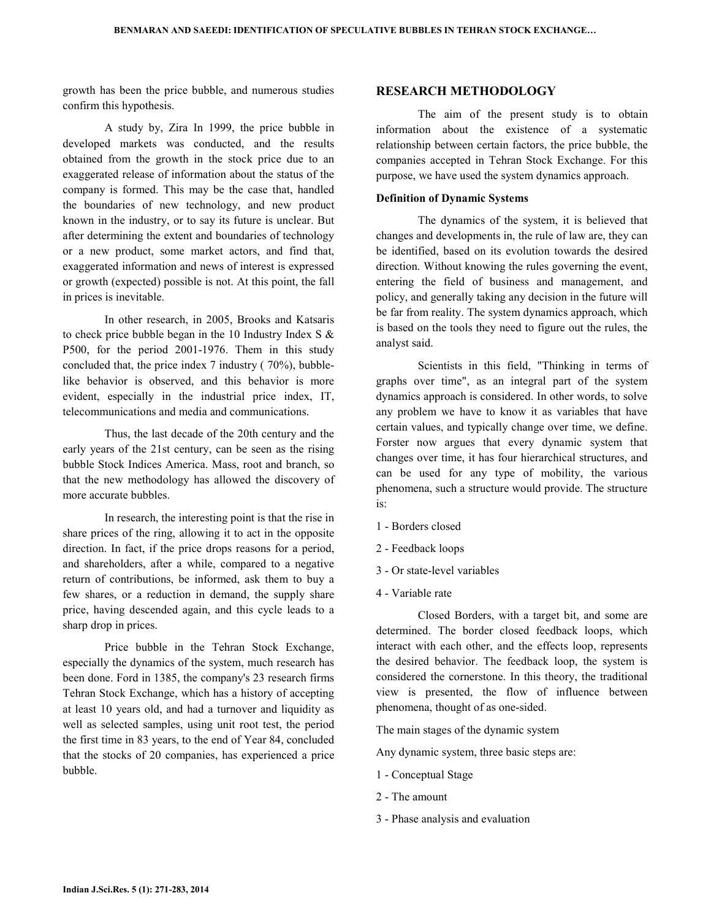growth has been the price bubble, and numerous studies confirm this hypothesis.

 A study by, Zira In 1999, the price bubble in developed markets was conducted, and the results obtained from the growth in the stock price due to an exaggerated release of information about the status of the company is formed. This may be the case that, handled the boundaries of new technology, and new product known in the industry, or to say its future is unclear. But after determining the extent and boundaries of technology or a new product, some market actors, and find that, exaggerated information and news of interest is expressed or growth (expected) possible is not. At this point, the fall in prices is inevitable.

 In other research, in 2005, Brooks and Katsaris to check price bubble began in the 10 Industry Index S & P500, for the period 2001-1976. Them in this study concluded that, the price index 7 industry ( 70%), bubblelike behavior is observed, and this behavior is more evident, especially in the industrial price index, IT, telecommunications and media and communications.

 Thus, the last decade of the 20th century and the early years of the 21st century, can be seen as the rising bubble Stock Indices America. Mass, root and branch, so that the new methodology has allowed the discovery of more accurate bubbles.

 In research, the interesting point is that the rise in share prices of the ring, allowing it to act in the opposite direction. In fact, if the price drops reasons for a period, and shareholders, after a while, compared to a negative return of contributions, be informed, ask them to buy a few shares, or a reduction in demand, the supply share price, having descended again, and this cycle leads to a sharp drop in prices.

 Price bubble in the Tehran Stock Exchange, especially the dynamics of the system, much research has been done. Ford in 1385, the company's 23 research firms Tehran Stock Exchange, which has a history of accepting at least 10 years old, and had a turnover and liquidity as well as selected samples, using unit root test, the period the first time in 83 years, to the end of Year 84, concluded that the stocks of 20 companies, has experienced a price bubble.

## RESEARCH METHODOLOGY

 The aim of the present study is to obtain information about the existence of a systematic relationship between certain factors, the price bubble, the companies accepted in Tehran Stock Exchange. For this purpose, we have used the system dynamics approach.

### Definition of Dynamic Systems

 The dynamics of the system, it is believed that changes and developments in, the rule of law are, they can be identified, based on its evolution towards the desired direction. Without knowing the rules governing the event, entering the field of business and management, and policy, and generally taking any decision in the future will be far from reality. The system dynamics approach, which is based on the tools they need to figure out the rules, the analyst said.

 Scientists in this field, "Thinking in terms of graphs over time", as an integral part of the system dynamics approach is considered. In other words, to solve any problem we have to know it as variables that have certain values, and typically change over time, we define. Forster now argues that every dynamic system that changes over time, it has four hierarchical structures, and can be used for any type of mobility, the various phenomena, such a structure would provide. The structure is:

- 1 Borders closed
- 2 Feedback loops
- 3 Or state-level variables
- 4 Variable rate

 Closed Borders, with a target bit, and some are determined. The border closed feedback loops, which interact with each other, and the effects loop, represents the desired behavior. The feedback loop, the system is considered the cornerstone. In this theory, the traditional view is presented, the flow of influence between phenomena, thought of as one-sided.

The main stages of the dynamic system

Any dynamic system, three basic steps are:

- 1 Conceptual Stage
- 2 The amount
- 3 Phase analysis and evaluation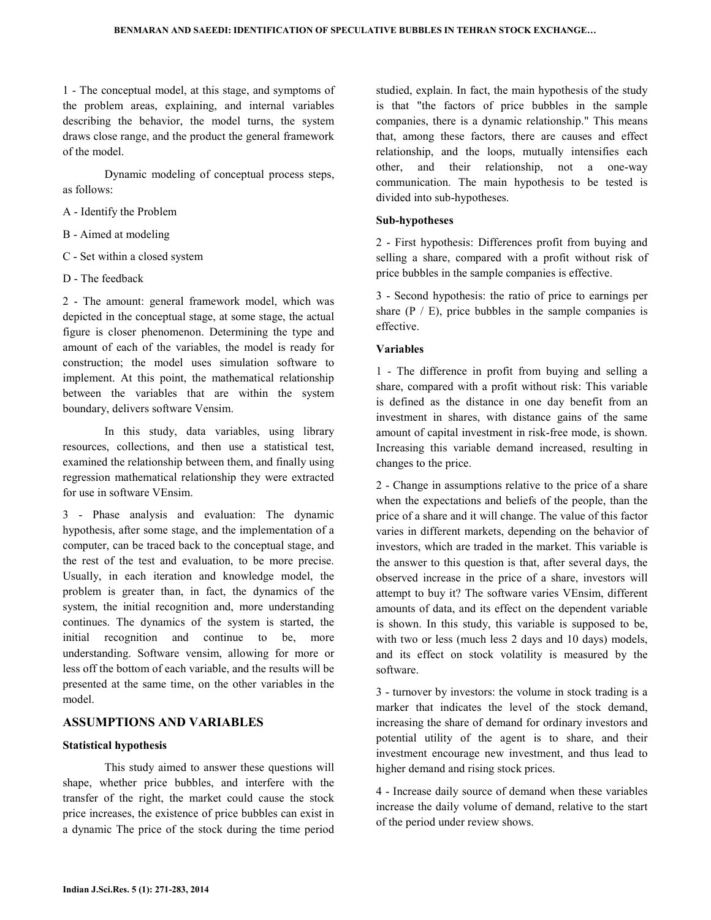1 - The conceptual model, at this stage, and symptoms of the problem areas, explaining, and internal variables describing the behavior, the model turns, the system draws close range, and the product the general framework of the model.

 Dynamic modeling of conceptual process steps, as follows:

- A Identify the Problem
- B Aimed at modeling
- C Set within a closed system
- D The feedback

2 - The amount: general framework model, which was depicted in the conceptual stage, at some stage, the actual figure is closer phenomenon. Determining the type and amount of each of the variables, the model is ready for construction; the model uses simulation software to implement. At this point, the mathematical relationship between the variables that are within the system boundary, delivers software Vensim.

 In this study, data variables, using library resources, collections, and then use a statistical test, examined the relationship between them, and finally using regression mathematical relationship they were extracted for use in software VEnsim.

3 - Phase analysis and evaluation: The dynamic hypothesis, after some stage, and the implementation of a computer, can be traced back to the conceptual stage, and the rest of the test and evaluation, to be more precise. Usually, in each iteration and knowledge model, the problem is greater than, in fact, the dynamics of the system, the initial recognition and, more understanding continues. The dynamics of the system is started, the initial recognition and continue to be, more understanding. Software vensim, allowing for more or less off the bottom of each variable, and the results will be presented at the same time, on the other variables in the model.

## ASSUMPTIONS AND VARIABLES

#### Statistical hypothesis

 This study aimed to answer these questions will shape, whether price bubbles, and interfere with the transfer of the right, the market could cause the stock price increases, the existence of price bubbles can exist in a dynamic The price of the stock during the time period studied, explain. In fact, the main hypothesis of the study is that "the factors of price bubbles in the sample companies, there is a dynamic relationship." This means that, among these factors, there are causes and effect relationship, and the loops, mutually intensifies each other, and their relationship, not a one-way communication. The main hypothesis to be tested is divided into sub-hypotheses.

#### Sub-hypotheses

2 - First hypothesis: Differences profit from buying and selling a share, compared with a profit without risk of price bubbles in the sample companies is effective.

3 - Second hypothesis: the ratio of price to earnings per share  $(P / E)$ , price bubbles in the sample companies is effective.

### Variables

1 - The difference in profit from buying and selling a share, compared with a profit without risk: This variable is defined as the distance in one day benefit from an investment in shares, with distance gains of the same amount of capital investment in risk-free mode, is shown. Increasing this variable demand increased, resulting in changes to the price.

2 - Change in assumptions relative to the price of a share when the expectations and beliefs of the people, than the price of a share and it will change. The value of this factor varies in different markets, depending on the behavior of investors, which are traded in the market. This variable is the answer to this question is that, after several days, the observed increase in the price of a share, investors will attempt to buy it? The software varies VEnsim, different amounts of data, and its effect on the dependent variable is shown. In this study, this variable is supposed to be, with two or less (much less 2 days and 10 days) models, and its effect on stock volatility is measured by the software.

3 - turnover by investors: the volume in stock trading is a marker that indicates the level of the stock demand, increasing the share of demand for ordinary investors and potential utility of the agent is to share, and their investment encourage new investment, and thus lead to higher demand and rising stock prices.

4 - Increase daily source of demand when these variables increase the daily volume of demand, relative to the start of the period under review shows.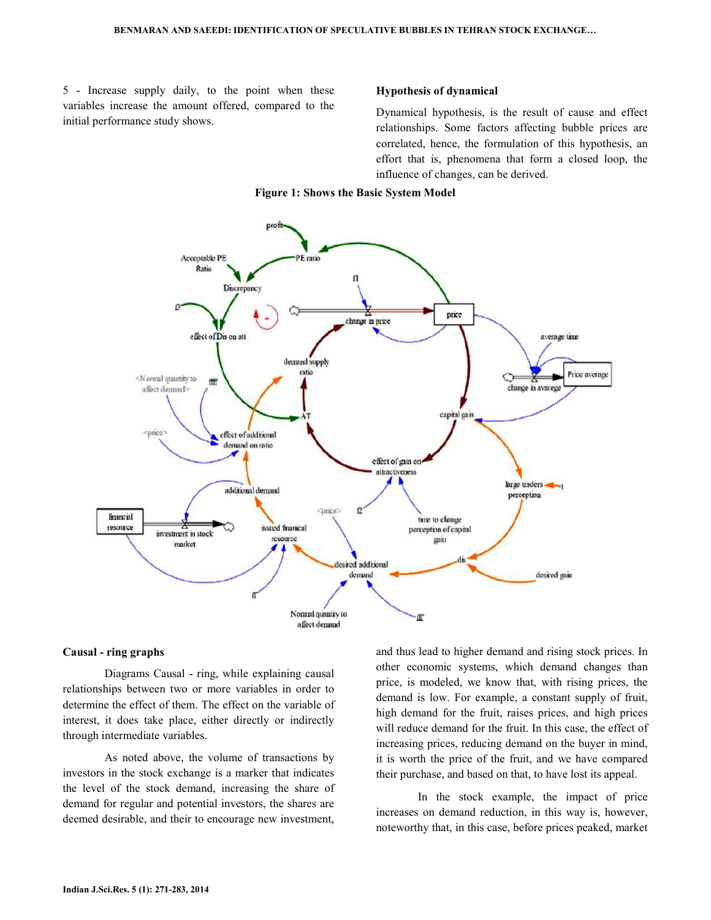5 - Increase supply daily, to the point when these variables increase the amount offered, compared to the initial performance study shows.

#### Hypothesis of dynamical

Dynamical hypothesis, is the result of cause and effect relationships. Some factors affecting bubble prices are correlated, hence, the formulation of this hypothesis, an effort that is, phenomena that form a closed loop, the influence of changes, can be derived.

#### Figure 1: Shows the Basic System Model



#### Causal - ring graphs

 Diagrams Causal - ring, while explaining causal relationships between two or more variables in order to determine the effect of them. The effect on the variable of interest, it does take place, either directly or indirectly through intermediate variables.

 As noted above, the volume of transactions by investors in the stock exchange is a marker that indicates the level of the stock demand, increasing the share of demand for regular and potential investors, the shares are deemed desirable, and their to encourage new investment,

and thus lead to higher demand and rising stock prices. In other economic systems, which demand changes than price, is modeled, we know that, with rising prices, the demand is low. For example, a constant supply of fruit, high demand for the fruit, raises prices, and high prices will reduce demand for the fruit. In this case, the effect of increasing prices, reducing demand on the buyer in mind, it is worth the price of the fruit, and we have compared their purchase, and based on that, to have lost its appeal.

 In the stock example, the impact of price increases on demand reduction, in this way is, however, noteworthy that, in this case, before prices peaked, market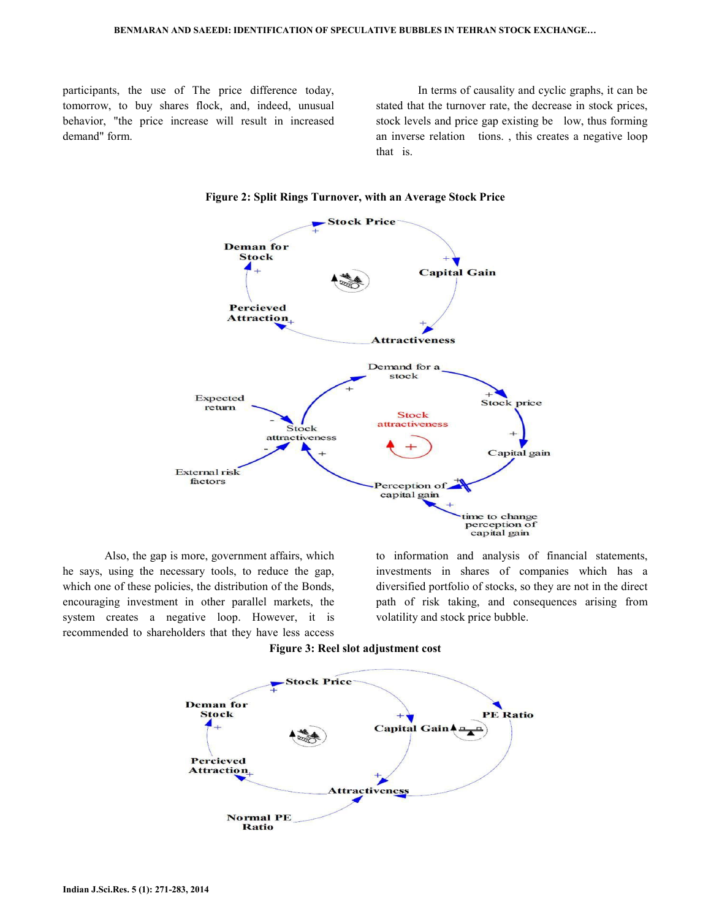participants, the use of The price difference today, tomorrow, to buy shares flock, and, indeed, unusual behavior, "the price increase will result in increased demand" form.

 In terms of causality and cyclic graphs, it can be stated that the turnover rate, the decrease in stock prices, stock levels and price gap existing be low, thus forming an inverse relation tions. , this creates a negative loop that is.



Figure 2: Split Rings Turnover, with an Average Stock Price

 Also, the gap is more, government affairs, which he says, using the necessary tools, to reduce the gap, which one of these policies, the distribution of the Bonds, encouraging investment in other parallel markets, the system creates a negative loop. However, it is recommended to shareholders that they have less access to information and analysis of financial statements, investments in shares of companies which has a diversified portfolio of stocks, so they are not in the direct path of risk taking, and consequences arising from volatility and stock price bubble.



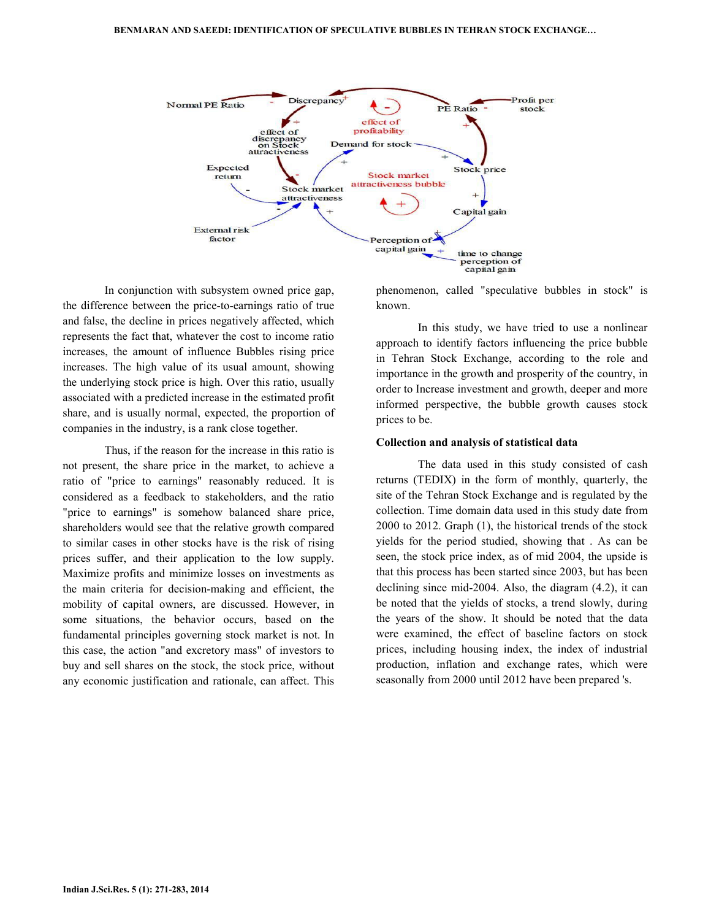

 In conjunction with subsystem owned price gap, the difference between the price-to-earnings ratio of true and false, the decline in prices negatively affected, which represents the fact that, whatever the cost to income ratio increases, the amount of influence Bubbles rising price increases. The high value of its usual amount, showing the underlying stock price is high. Over this ratio, usually associated with a predicted increase in the estimated profit share, and is usually normal, expected, the proportion of companies in the industry, is a rank close together.

 Thus, if the reason for the increase in this ratio is not present, the share price in the market, to achieve a ratio of "price to earnings" reasonably reduced. It is considered as a feedback to stakeholders, and the ratio "price to earnings" is somehow balanced share price, shareholders would see that the relative growth compared to similar cases in other stocks have is the risk of rising prices suffer, and their application to the low supply. Maximize profits and minimize losses on investments as the main criteria for decision-making and efficient, the mobility of capital owners, are discussed. However, in some situations, the behavior occurs, based on the fundamental principles governing stock market is not. In this case, the action "and excretory mass" of investors to buy and sell shares on the stock, the stock price, without any economic justification and rationale, can affect. This

phenomenon, called "speculative bubbles in stock" is known.

 In this study, we have tried to use a nonlinear approach to identify factors influencing the price bubble in Tehran Stock Exchange, according to the role and importance in the growth and prosperity of the country, in order to Increase investment and growth, deeper and more informed perspective, the bubble growth causes stock prices to be.

#### Collection and analysis of statistical data

 The data used in this study consisted of cash returns (TEDIX) in the form of monthly, quarterly, the site of the Tehran Stock Exchange and is regulated by the collection. Time domain data used in this study date from 2000 to 2012. Graph (1), the historical trends of the stock yields for the period studied, showing that . As can be seen, the stock price index, as of mid 2004, the upside is that this process has been started since 2003, but has been declining since mid-2004. Also, the diagram (4.2), it can be noted that the yields of stocks, a trend slowly, during the years of the show. It should be noted that the data were examined, the effect of baseline factors on stock prices, including housing index, the index of industrial production, inflation and exchange rates, which were seasonally from 2000 until 2012 have been prepared 's.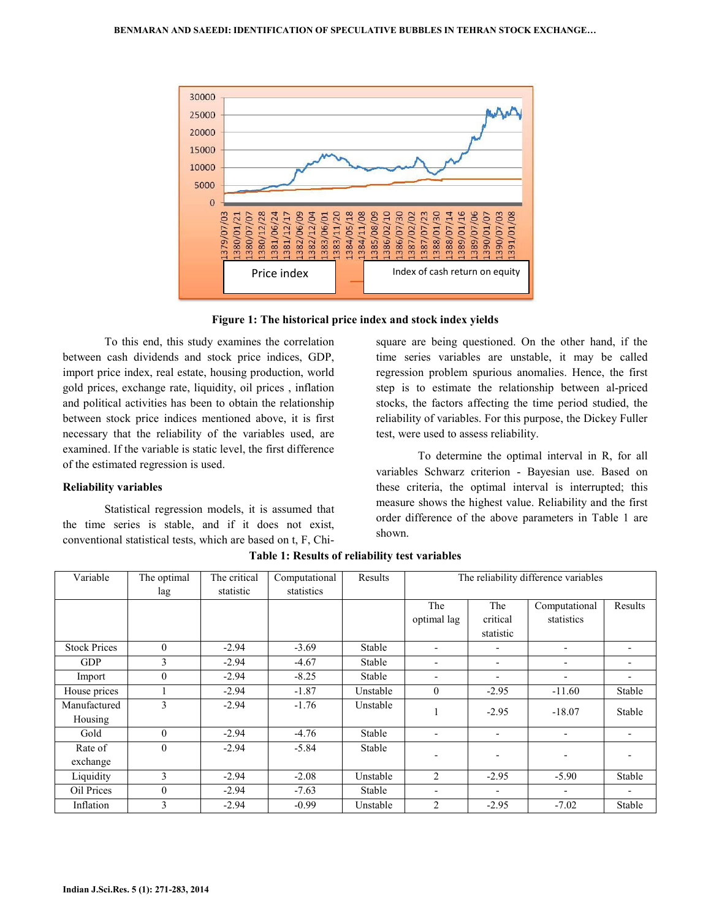

Figure 1: The historical price index and stock index yields

 To this end, this study examines the correlation between cash dividends and stock price indices, GDP, import price index, real estate, housing production, world gold prices, exchange rate, liquidity, oil prices , inflation and political activities has been to obtain the relationship between stock price indices mentioned above, it is first necessary that the reliability of the variables used, are examined. If the variable is static level, the first difference of the estimated regression is used.

#### Reliability variables

 Statistical regression models, it is assumed that the time series is stable, and if it does not exist, conventional statistical tests, which are based on t, F, Chisquare are being questioned. On the other hand, if the time series variables are unstable, it may be called regression problem spurious anomalies. Hence, the first step is to estimate the relationship between al-priced stocks, the factors affecting the time period studied, the reliability of variables. For this purpose, the Dickey Fuller test, were used to assess reliability.

 To determine the optimal interval in R, for all variables Schwarz criterion - Bayesian use. Based on these criteria, the optimal interval is interrupted; this measure shows the highest value. Reliability and the first order difference of the above parameters in Table 1 are shown.

| Variable                | The optimal<br>lag | The critical<br>statistic | Computational<br>statistics | Results  | The reliability difference variables |                              |                             |         |
|-------------------------|--------------------|---------------------------|-----------------------------|----------|--------------------------------------|------------------------------|-----------------------------|---------|
|                         |                    |                           |                             |          | The<br>optimal lag                   | The<br>critical<br>statistic | Computational<br>statistics | Results |
| <b>Stock Prices</b>     | $\theta$           | $-2.94$                   | $-3.69$                     | Stable   | $\overline{\phantom{0}}$             |                              |                             |         |
| <b>GDP</b>              | 3                  | $-2.94$                   | $-4.67$                     | Stable   | $\overline{\phantom{a}}$             | $\overline{\phantom{a}}$     | $\overline{\phantom{0}}$    | -       |
| Import                  | $\overline{0}$     | $-2.94$                   | $-8.25$                     | Stable   | $\overline{\phantom{a}}$             | $\overline{\phantom{a}}$     |                             |         |
| House prices            |                    | $-2.94$                   | $-1.87$                     | Unstable | $\mathbf{0}$                         | $-2.95$                      | $-11.60$                    | Stable  |
| Manufactured<br>Housing | 3                  | $-2.94$                   | $-1.76$                     | Unstable |                                      | $-2.95$                      | $-18.07$                    | Stable  |
| Gold                    | $\theta$           | $-2.94$                   | $-4.76$                     | Stable   | $\overline{\phantom{0}}$             | $\overline{\phantom{a}}$     | $\overline{\phantom{a}}$    | -       |
| Rate of<br>exchange     | $\theta$           | $-2.94$                   | $-5.84$                     | Stable   |                                      | $\qquad \qquad \blacksquare$ |                             |         |
| Liquidity               | $\mathbf{3}$       | $-2.94$                   | $-2.08$                     | Unstable | $\overline{c}$                       | $-2.95$                      | $-5.90$                     | Stable  |
| Oil Prices              | $\overline{0}$     | $-2.94$                   | $-7.63$                     | Stable   | $\overline{\phantom{a}}$             |                              |                             |         |
| Inflation               | 3                  | $-2.94$                   | $-0.99$                     | Unstable | 2                                    | $-2.95$                      | $-7.02$                     | Stable  |

Table 1: Results of reliability test variables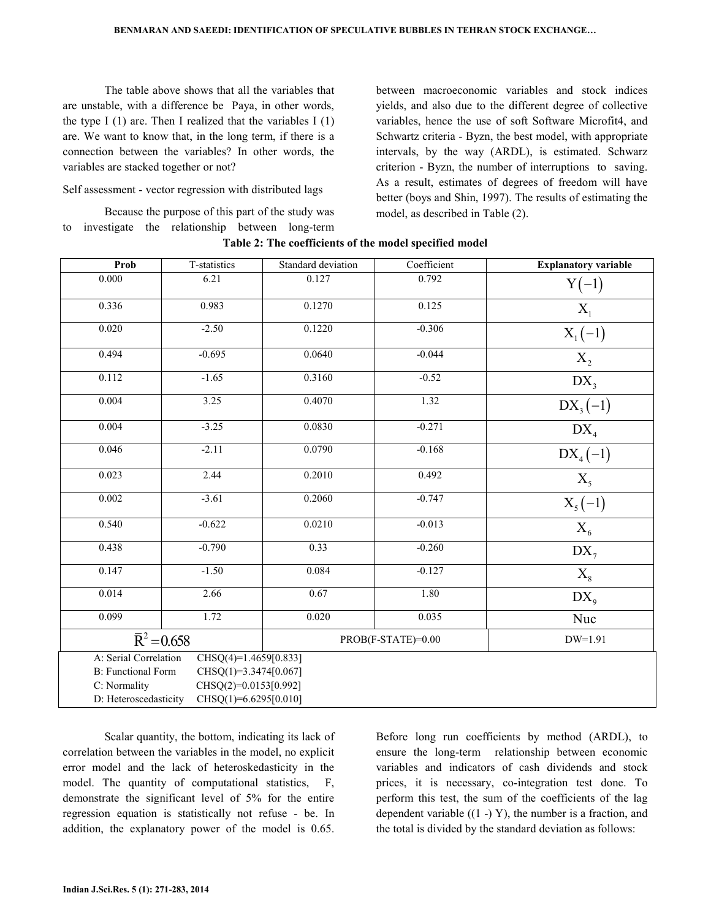The table above shows that all the variables that are unstable, with a difference be Paya, in other words, the type I  $(1)$  are. Then I realized that the variables I  $(1)$ are. We want to know that, in the long term, if there is a connection between the variables? In other words, the variables are stacked together or not?

Self assessment - vector regression with distributed lags

 Because the purpose of this part of the study was to investigate the relationship between long-term between macroeconomic variables and stock indices yields, and also due to the different degree of collective variables, hence the use of soft Software Microfit4, and Schwartz criteria - Byzn, the best model, with appropriate intervals, by the way (ARDL), is estimated. Schwarz criterion - Byzn, the number of interruptions to saving. As a result, estimates of degrees of freedom will have better (boys and Shin, 1997). The results of estimating the model, as described in Table (2).

| Prob                                                 | T-statistics                                     | Standard deviation | Coefficient        | <b>Explanatory variable</b> |  |
|------------------------------------------------------|--------------------------------------------------|--------------------|--------------------|-----------------------------|--|
| 0.000                                                | 6.21                                             | 0.127              | 0.792              | $Y(-1)$                     |  |
| 0.336                                                | 0.983                                            | 0.1270             | 0.125              | $X_1$                       |  |
| 0.020                                                | $-2.50$                                          | 0.1220             | $-0.306$           | $X_1(-1)$                   |  |
| 0.494                                                | $-0.695$                                         | 0.0640             | $-0.044$           | $X_2$                       |  |
| 0.112                                                | $-1.65$                                          | 0.3160             | $-0.52$            | $DX_{3}$                    |  |
| 0.004                                                | 3.25                                             | 0.4070             | 1.32               | $DX_{3}(-1)$                |  |
| 0.004                                                | $-3.25$                                          | 0.0830             | $-0.271$           | $DX_4$                      |  |
| 0.046                                                | $-2.11$                                          | 0.0790             | $-0.168$           | $DX_{4}(-1)$                |  |
| 0.023                                                | 2.44                                             | 0.2010             | 0.492              | $X_5$                       |  |
| 0.002                                                | $-3.61$                                          | 0.2060             | $-0.747$           | $X_5(-1)$                   |  |
| 0.540                                                | $-0.622$                                         | 0.0210             | $-0.013$           | $X_6$                       |  |
| 0.438                                                | $-0.790$                                         | 0.33               | $-0.260$           | $DX_{7}$                    |  |
| 0.147                                                | $-1.50$                                          | 0.084              | $-0.127$           | $X_8$                       |  |
| 0.014                                                | 2.66                                             | 0.67               | 1.80               | $DX_{9}$                    |  |
| 0.099                                                | 1.72                                             | 0.020              | 0.035              | Nuc                         |  |
| $\overline{R}^2$ = 0.658                             |                                                  |                    | PROB(F-STATE)=0.00 | $DW=1.91$                   |  |
| A: Serial Correlation<br>$CHSQ(4)=1.4659[0.833]$     |                                                  |                    |                    |                             |  |
| <b>B:</b> Functional Form<br>$CHSQ(1)=3.3474[0.067]$ |                                                  |                    |                    |                             |  |
| C: Normality                                         | CHSQ(2)=0.0153[0.992]                            |                    |                    |                             |  |
|                                                      | D: Heteroscedasticity<br>$CHSQ(1)=6.6295[0.010]$ |                    |                    |                             |  |

| Table 2: The coefficients of the model specified model |  |  |  |  |
|--------------------------------------------------------|--|--|--|--|
|--------------------------------------------------------|--|--|--|--|

 Scalar quantity, the bottom, indicating its lack of correlation between the variables in the model, no explicit error model and the lack of heteroskedasticity in the model. The quantity of computational statistics, F, demonstrate the significant level of 5% for the entire regression equation is statistically not refuse - be. In addition, the explanatory power of the model is 0.65. Before long run coefficients by method (ARDL), to ensure the long-term relationship between economic variables and indicators of cash dividends and stock prices, it is necessary, co-integration test done. To perform this test, the sum of the coefficients of the lag dependent variable  $((1 - Y)$ , the number is a fraction, and the total is divided by the standard deviation as follows: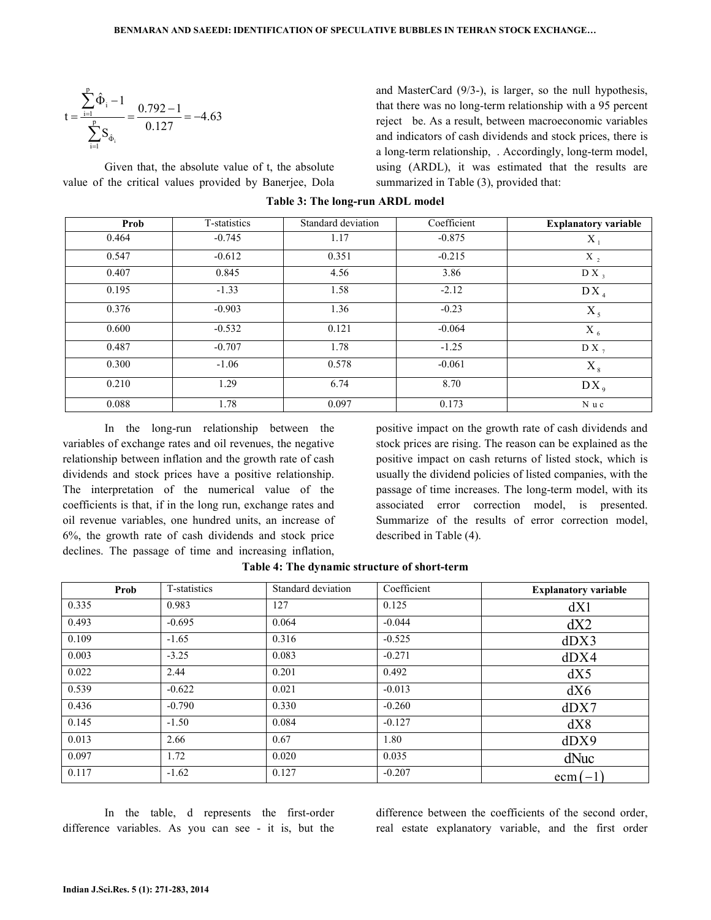$$
t = \frac{\sum_{i=1}^{p} \hat{\Phi}_{i} - 1}{\sum_{i=1}^{p} S_{\hat{\Phi}_{i}}} = \frac{0.792 - 1}{0.127} = -4.63
$$

 Given that, the absolute value of t, the absolute value of the critical values provided by Banerjee, Dola and MasterCard (9/3-), is larger, so the null hypothesis, that there was no long-term relationship with a 95 percent reject be. As a result, between macroeconomic variables and indicators of cash dividends and stock prices, there is a long-term relationship, . Accordingly, long-term model, using (ARDL), it was estimated that the results are summarized in Table (3), provided that:

| Prob  | T-statistics | Standard deviation | Coefficient | <b>Explanatory variable</b> |
|-------|--------------|--------------------|-------------|-----------------------------|
| 0.464 | $-0.745$     | 1.17               | $-0.875$    | X                           |
| 0.547 | $-0.612$     | 0.351              | $-0.215$    | $X_2$                       |
| 0.407 | 0.845        | 4.56               | 3.86        | $DX_3$                      |
| 0.195 | $-1.33$      | 1.58               | $-2.12$     | DX <sub>4</sub>             |
| 0.376 | $-0.903$     | 1.36               | $-0.23$     | $X_5$                       |
| 0.600 | $-0.532$     | 0.121              | $-0.064$    | $X_{6}$                     |
| 0.487 | $-0.707$     | 1.78               | $-1.25$     | $DX_{7}$                    |
| 0.300 | $-1.06$      | 0.578              | $-0.061$    | $X_{8}$                     |
| 0.210 | 1.29         | 6.74               | 8.70        | $DX_{9}$                    |
| 0.088 | 1.78         | 0.097              | 0.173       | N u c                       |

#### Table 3: The long-run ARDL model

 In the long-run relationship between the variables of exchange rates and oil revenues, the negative relationship between inflation and the growth rate of cash dividends and stock prices have a positive relationship. The interpretation of the numerical value of the coefficients is that, if in the long run, exchange rates and oil revenue variables, one hundred units, an increase of 6%, the growth rate of cash dividends and stock price declines. The passage of time and increasing inflation, positive impact on the growth rate of cash dividends and stock prices are rising. The reason can be explained as the positive impact on cash returns of listed stock, which is usually the dividend policies of listed companies, with the passage of time increases. The long-term model, with its associated error correction model, is presented. Summarize of the results of error correction model, described in Table (4).

| Prob  | T-statistics | Standard deviation | Coefficient | <b>Explanatory variable</b> |
|-------|--------------|--------------------|-------------|-----------------------------|
| 0.335 | 0.983        | 127                | 0.125       | dX1                         |
| 0.493 | $-0.695$     | 0.064              | $-0.044$    | dX2                         |
| 0.109 | $-1.65$      | 0.316              | $-0.525$    | dDX3                        |
| 0.003 | $-3.25$      | 0.083              | $-0.271$    | dDX4                        |
| 0.022 | 2.44         | 0.201              | 0.492       | dX5                         |
| 0.539 | $-0.622$     | 0.021              | $-0.013$    | dX6                         |
| 0.436 | $-0.790$     | 0.330              | $-0.260$    | dDX7                        |
| 0.145 | $-1.50$      | 0.084              | $-0.127$    | dX8                         |
| 0.013 | 2.66         | 0.67               | 1.80        | dDX9                        |
| 0.097 | 1.72         | 0.020              | 0.035       | dNuc                        |
| 0.117 | $-1.62$      | 0.127              | $-0.207$    | $ecm(-1)$                   |

|  | Table 4: The dynamic structure of short-term |  |
|--|----------------------------------------------|--|
|--|----------------------------------------------|--|

 In the table, d represents the first-order difference variables. As you can see - it is, but the difference between the coefficients of the second order, real estate explanatory variable, and the first order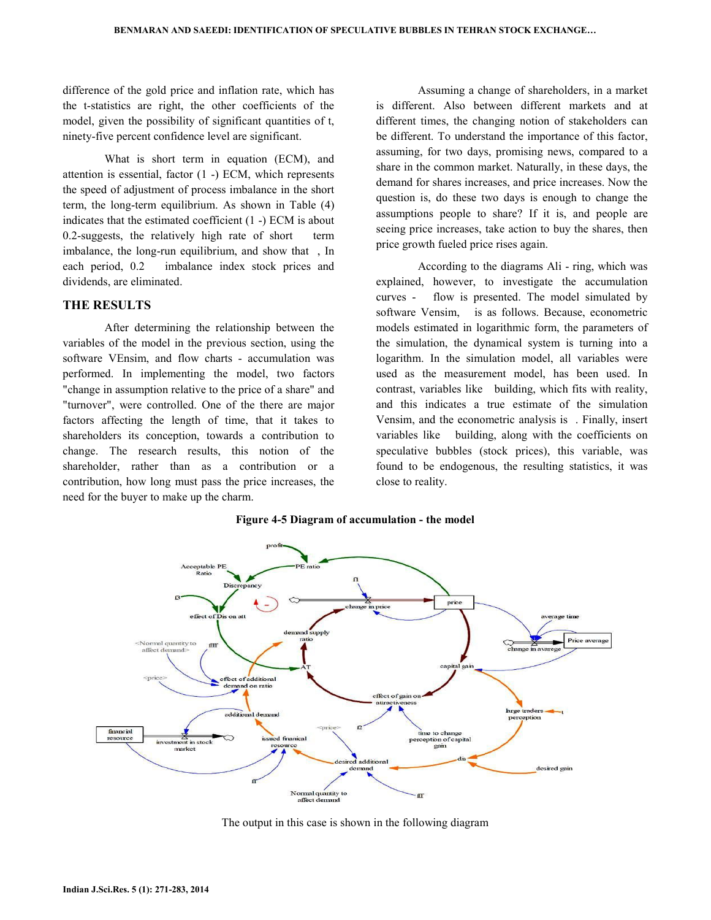difference of the gold price and inflation rate, which has the t-statistics are right, the other coefficients of the model, given the possibility of significant quantities of t, ninety-five percent confidence level are significant.

 What is short term in equation (ECM), and attention is essential, factor (1 -) ECM, which represents the speed of adjustment of process imbalance in the short term, the long-term equilibrium. As shown in Table (4) indicates that the estimated coefficient (1 -) ECM is about  $0.2$ -suggests, the relatively high rate of short imbalance, the long-run equilibrium, and show that , In each period, 0.2 imbalance index stock prices and dividends, are eliminated.

## THE RESULTS

 After determining the relationship between the variables of the model in the previous section, using the software VEnsim, and flow charts - accumulation was performed. In implementing the model, two factors "change in assumption relative to the price of a share" and "turnover", were controlled. One of the there are major factors affecting the length of time, that it takes to shareholders its conception, towards a contribution to change. The research results, this notion of the shareholder, rather than as a contribution or a contribution, how long must pass the price increases, the need for the buyer to make up the charm.

 Assuming a change of shareholders, in a market is different. Also between different markets and at different times, the changing notion of stakeholders can be different. To understand the importance of this factor, assuming, for two days, promising news, compared to a share in the common market. Naturally, in these days, the demand for shares increases, and price increases. Now the question is, do these two days is enough to change the assumptions people to share? If it is, and people are seeing price increases, take action to buy the shares, then price growth fueled price rises again.

 According to the diagrams Ali - ring, which was explained, however, to investigate the accumulation curves - flow is presented. The model simulated by software Vensim, is as follows. Because, econometric models estimated in logarithmic form, the parameters of the simulation, the dynamical system is turning into a logarithm. In the simulation model, all variables were used as the measurement model, has been used. In contrast, variables like building, which fits with reality, and this indicates a true estimate of the simulation Vensim, and the econometric analysis is . Finally, insert variables like building, along with the coefficients on speculative bubbles (stock prices), this variable, was found to be endogenous, the resulting statistics, it was close to reality.





The output in this case is shown in the following diagram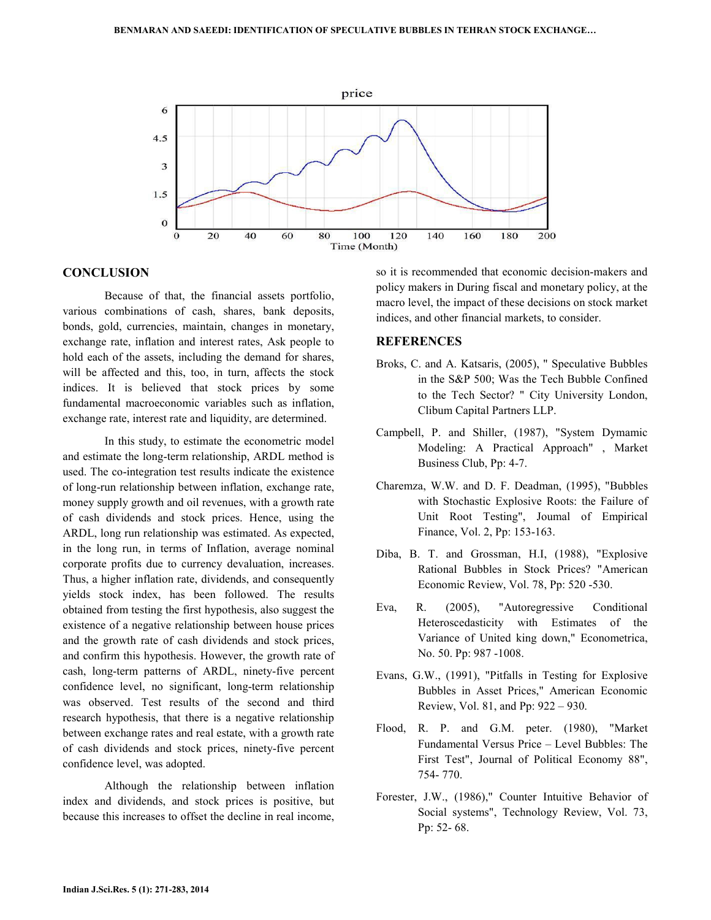

#### **CONCLUSION**

 Because of that, the financial assets portfolio, various combinations of cash, shares, bank deposits, bonds, gold, currencies, maintain, changes in monetary, exchange rate, inflation and interest rates, Ask people to hold each of the assets, including the demand for shares, will be affected and this, too, in turn, affects the stock indices. It is believed that stock prices by some fundamental macroeconomic variables such as inflation, exchange rate, interest rate and liquidity, are determined.

 In this study, to estimate the econometric model and estimate the long-term relationship, ARDL method is used. The co-integration test results indicate the existence of long-run relationship between inflation, exchange rate, money supply growth and oil revenues, with a growth rate of cash dividends and stock prices. Hence, using the ARDL, long run relationship was estimated. As expected, in the long run, in terms of Inflation, average nominal corporate profits due to currency devaluation, increases. Thus, a higher inflation rate, dividends, and consequently yields stock index, has been followed. The results obtained from testing the first hypothesis, also suggest the existence of a negative relationship between house prices and the growth rate of cash dividends and stock prices, and confirm this hypothesis. However, the growth rate of cash, long-term patterns of ARDL, ninety-five percent confidence level, no significant, long-term relationship was observed. Test results of the second and third research hypothesis, that there is a negative relationship between exchange rates and real estate, with a growth rate of cash dividends and stock prices, ninety-five percent confidence level, was adopted.

 Although the relationship between inflation index and dividends, and stock prices is positive, but because this increases to offset the decline in real income,

so it is recommended that economic decision-makers and policy makers in During fiscal and monetary policy, at the macro level, the impact of these decisions on stock market indices, and other financial markets, to consider.

### **REFERENCES**

- Broks, C. and A. Katsaris, (2005), " Speculative Bubbles in the S&P 500; Was the Tech Bubble Confined to the Tech Sector? " City University London, Clibum Capital Partners LLP.
- Campbell, P. and Shiller, (1987), "System Dymamic Modeling: A Practical Approach" , Market Business Club, Pp: 4-7.
- Charemza, W.W. and D. F. Deadman, (1995), "Bubbles with Stochastic Explosive Roots: the Failure of Unit Root Testing", Joumal of Empirical Finance, Vol. 2, Pp: 153-163.
- Diba, B. T. and Grossman, H.I, (1988), "Explosive Rational Bubbles in Stock Prices? "American Economic Review, Vol. 78, Pp: 520 -530.
- Eva, R. (2005), "Autoregressive Conditional Heteroscedasticity with Estimates of the Variance of United king down," Econometrica, No. 50. Pp: 987 -1008.
- Evans, G.W., (1991), "Pitfalls in Testing for Explosive Bubbles in Asset Prices," American Economic Review, Vol. 81, and Pp: 922 – 930.
- Flood, R. P. and G.M. peter. (1980), "Market Fundamental Versus Price – Level Bubbles: The First Test", Journal of Political Economy 88", 754- 770.
- Forester, J.W., (1986)," Counter Intuitive Behavior of Social systems", Technology Review, Vol. 73, Pp: 52- 68.